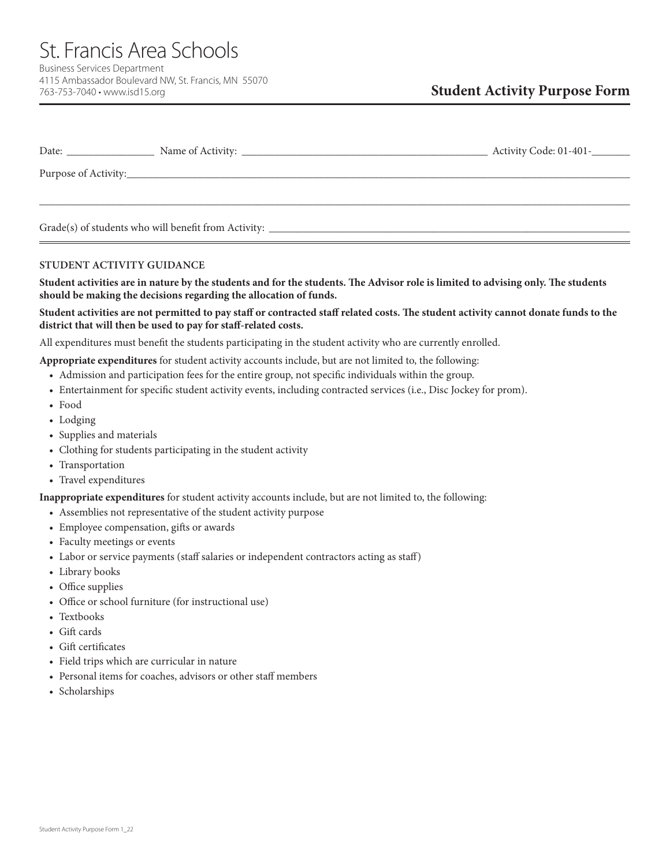St. Francis Area Schools Business Services Department 4115 Ambassador Boulevard NW, St. Francis, MN 55070 763-753-7040 • www.isd15.org

| Date: |                                                      | Activity Code: 01-401- |
|-------|------------------------------------------------------|------------------------|
|       |                                                      |                        |
|       |                                                      |                        |
|       | Grade(s) of students who will benefit from Activity: |                        |

## **STUDENT ACTIVITY GUIDANCE**

**Student activities are in nature by the students and for the students. The Advisor role is limited to advising only. The students should be making the decisions regarding the allocation of funds.**

## **Student activities are not permitted to pay staff or contracted staff related costs. The student activity cannot donate funds to the district that will then be used to pay for staff-related costs.**

All expenditures must benefit the students participating in the student activity who are currently enrolled.

**Appropriate expenditures** for student activity accounts include, but are not limited to, the following:

- Admission and participation fees for the entire group, not specific individuals within the group.
- Entertainment for specific student activity events, including contracted services (i.e., Disc Jockey for prom).
- Food
- Lodging
- Supplies and materials
- Clothing for students participating in the student activity
- Transportation
- Travel expenditures

**Inappropriate expenditures** for student activity accounts include, but are not limited to, the following:

- Assemblies not representative of the student activity purpose
- Employee compensation, gifts or awards
- Faculty meetings or events
- Labor or service payments (staff salaries or independent contractors acting as staff)
- Library books
- Office supplies
- Office or school furniture (for instructional use)
- Textbooks
- Gift cards
- Gift certificates
- Field trips which are curricular in nature
- Personal items for coaches, advisors or other staff members
- Scholarships